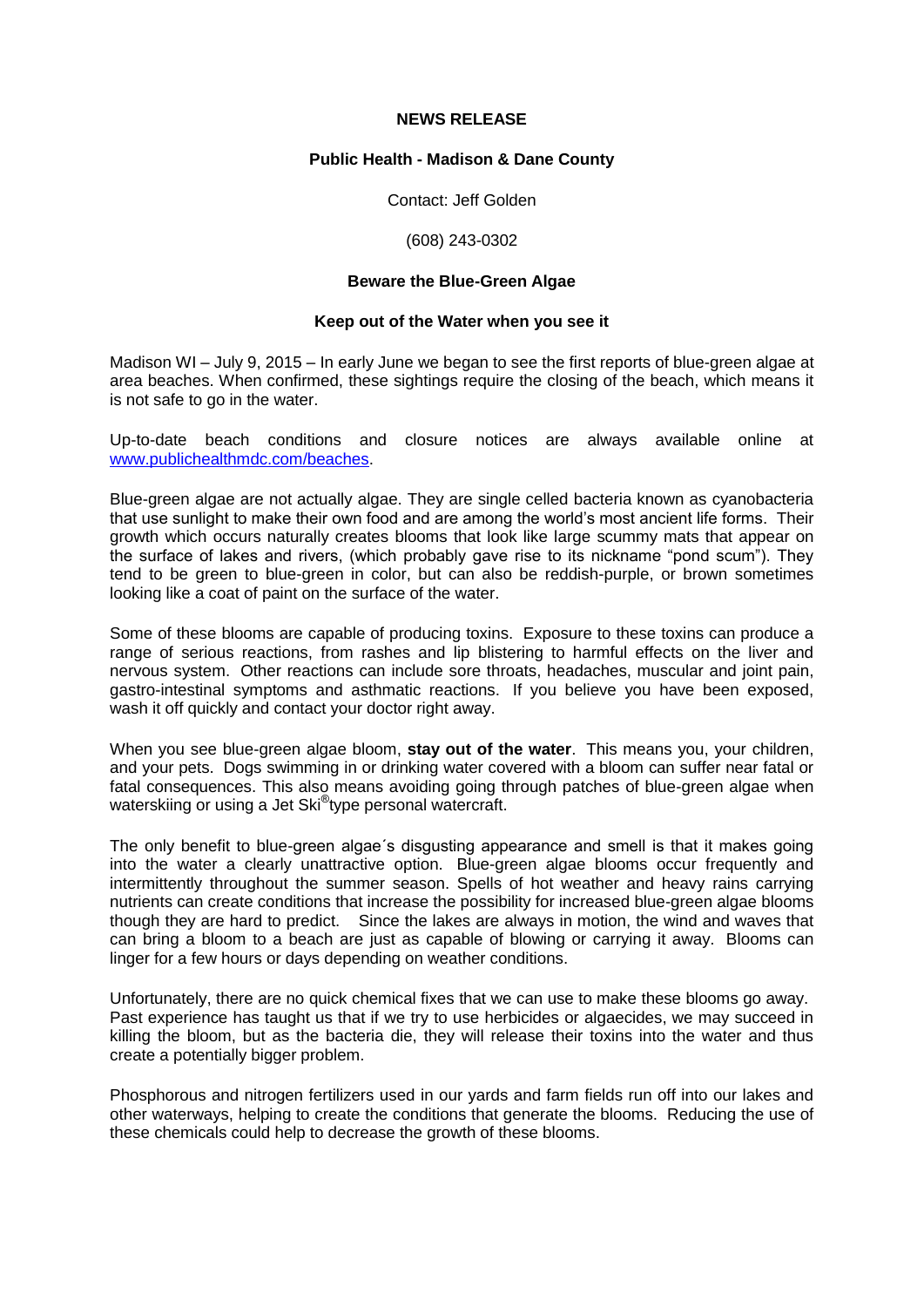# **NEWS RELEASE**

# **Public Health - Madison & Dane County**

Contact: Jeff Golden

# (608) 243-0302

# **Beware the Blue-Green Algae**

### **Keep out of the Water when you see it**

Madison WI – July 9, 2015 – In early June we began to see the first reports of blue-green algae at area beaches. When confirmed, these sightings require the closing of the beach, which means it is not safe to go in the water.

Up-to-date beach conditions and closure notices are always available online at [www.publichealthmdc.com/beaches.](http://www.publichealthmdc.com/beaches)

Blue-green algae are not actually algae. They are single celled bacteria known as cyanobacteria that use sunlight to make their own food and are among the world's most ancient life forms. Their growth which occurs naturally creates blooms that look like large scummy mats that appear on the surface of lakes and rivers, (which probably gave rise to its nickname "pond scum"). They tend to be green to blue-green in color, but can also be reddish-purple, or brown sometimes looking like a coat of paint on the surface of the water.

Some of these blooms are capable of producing toxins. Exposure to these toxins can produce a range of serious reactions, from rashes and lip blistering to harmful effects on the liver and nervous system. Other reactions can include sore throats, headaches, muscular and joint pain, gastro-intestinal symptoms and asthmatic reactions. If you believe you have been exposed, wash it off quickly and contact your doctor right away.

When you see blue-green algae bloom, **stay out of the water**. This means you, your children, and your pets. Dogs swimming in or drinking water covered with a bloom can suffer near fatal or fatal consequences. This also means avoiding going through patches of blue-green algae when waterskiing or using a Jet Ski<sup>®</sup>type personal watercraft.

The only benefit to blue-green algae´s disgusting appearance and smell is that it makes going into the water a clearly unattractive option. Blue-green algae blooms occur frequently and intermittently throughout the summer season. Spells of hot weather and heavy rains carrying nutrients can create conditions that increase the possibility for increased blue-green algae blooms though they are hard to predict. Since the lakes are always in motion, the wind and waves that can bring a bloom to a beach are just as capable of blowing or carrying it away. Blooms can linger for a few hours or days depending on weather conditions.

Unfortunately, there are no quick chemical fixes that we can use to make these blooms go away. Past experience has taught us that if we try to use herbicides or algaecides, we may succeed in killing the bloom, but as the bacteria die, they will release their toxins into the water and thus create a potentially bigger problem.

Phosphorous and nitrogen fertilizers used in our yards and farm fields run off into our lakes and other waterways, helping to create the conditions that generate the blooms. Reducing the use of these chemicals could help to decrease the growth of these blooms.